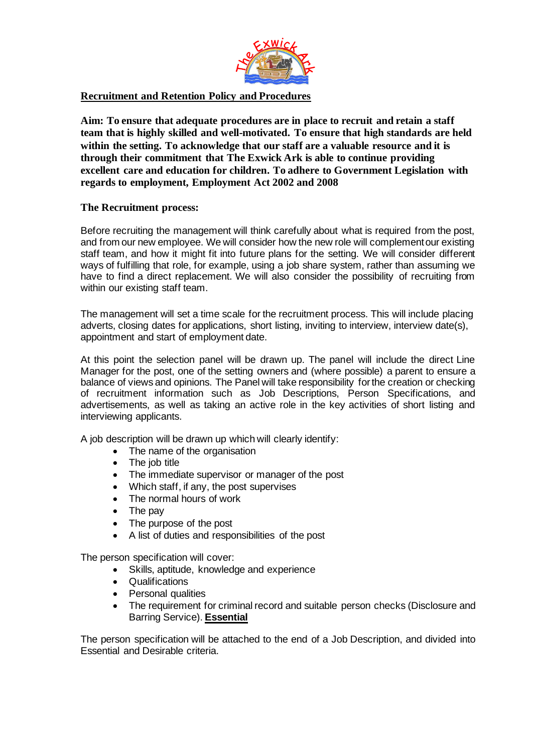

## **Recruitment and Retention Policy and Procedures**

**Aim: To ensure that adequate procedures are in place to recruit and retain a staff team that is highly skilled and well-motivated. To ensure that high standards are held within the setting. To acknowledge that our staff are a valuable resource and it is through their commitment that The Exwick Ark is able to continue providing excellent care and education for children. To adhere to Government Legislation with regards to employment, Employment Act 2002 and 2008**

# **The Recruitment process:**

Before recruiting the management will think carefully about what is required from the post, and from our new employee. We will consider how the new role will complement our existing staff team, and how it might fit into future plans for the setting. We will consider different ways of fulfilling that role, for example, using a job share system, rather than assuming we have to find a direct replacement. We will also consider the possibility of recruiting from within our existing staff team.

The management will set a time scale for the recruitment process. This will include placing adverts, closing dates for applications, short listing, inviting to interview, interview date(s), appointment and start of employment date.

At this point the selection panel will be drawn up. The panel will include the direct Line Manager for the post, one of the setting owners and (where possible) a parent to ensure a balance of views and opinions. The Panel will take responsibility for the creation or checking of recruitment information such as Job Descriptions, Person Specifications, and advertisements, as well as taking an active role in the key activities of short listing and interviewing applicants.

A job description will be drawn up which will clearly identify:

- The name of the organisation
- The job title
- The immediate supervisor or manager of the post
- Which staff, if any, the post supervises
- The normal hours of work
- The pay
- The purpose of the post
- A list of duties and responsibilities of the post

The person specification will cover:

- Skills, aptitude, knowledge and experience
- Qualifications
- Personal qualities
- The requirement for criminal record and suitable person checks (Disclosure and Barring Service). **Essential**

The person specification will be attached to the end of a Job Description, and divided into Essential and Desirable criteria.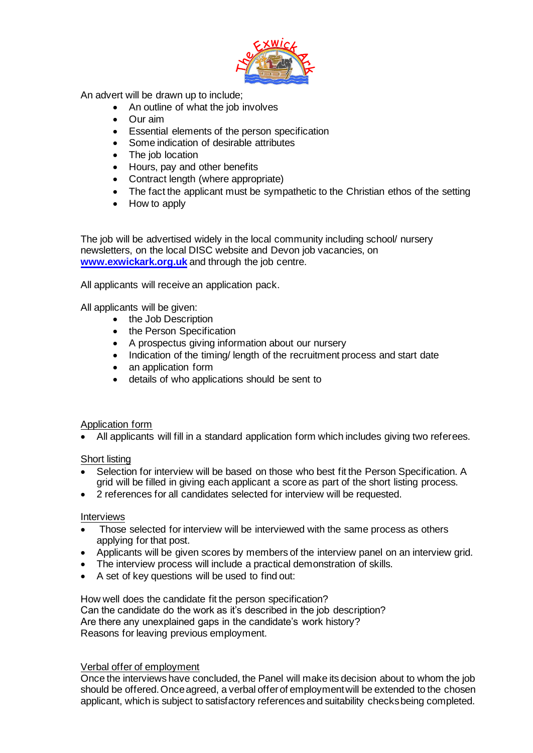

An advert will be drawn up to include;

- An outline of what the job involves
- Our aim
- Essential elements of the person specification
- Some indication of desirable attributes
- The job location
- Hours, pay and other benefits
- Contract length (where appropriate)
- The fact the applicant must be sympathetic to the Christian ethos of the setting
- How to apply

The job will be advertised widely in the local community including school/ nursery newsletters, on the local DISC website and Devon job vacancies, on **www.exwickark.org.uk** and through the job centre.

All applicants will receive an application pack.

All applicants will be given:

- the Job Description
- the Person Specification
- A prospectus giving information about our nursery
- Indication of the timing/ length of the recruitment process and start date
- an application form
- details of who applications should be sent to

## Application form

• All applicants will fill in a standard application form which includes giving two referees.

## Short listing

- Selection for interview will be based on those who best fit the Person Specification. A grid will be filled in giving each applicant a score as part of the short listing process.
- 2 references for all candidates selected for interview will be requested.

# Interviews

- Those selected for interview will be interviewed with the same process as others applying for that post.
- Applicants will be given scores by members of the interview panel on an interview grid.
- The interview process will include a practical demonstration of skills.
- A set of key questions will be used to find out:

How well does the candidate fit the person specification? Can the candidate do the work as it's described in the job description? Are there any unexplained gaps in the candidate's work history? Reasons for leaving previous employment.

## Verbal offer of employment

Once the interviews have concluded, the Panel will make its decision about to whom the job should be offered. Once agreed, a verbal offer of employment will be extended to the chosen applicant, which is subject to satisfactory references and suitability checks being completed.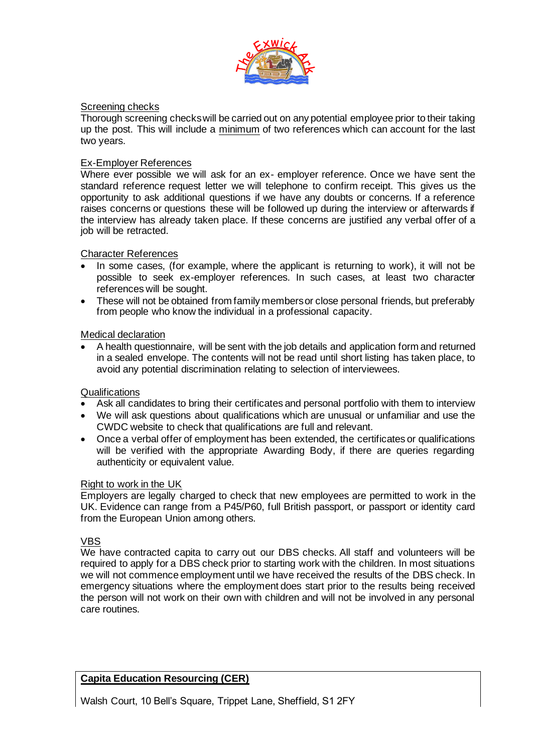

## Screening checks

Thorough screening checks will be carried out on any potential employee prior to their taking up the post. This will include a minimum of two references which can account for the last two years.

#### Ex-Employer References

Where ever possible we will ask for an ex- employer reference. Once we have sent the standard reference request letter we will telephone to confirm receipt. This gives us the opportunity to ask additional questions if we have any doubts or concerns. If a reference raises concerns or questions these will be followed up during the interview or afterwards if the interview has already taken place. If these concerns are justified any verbal offer of a job will be retracted.

### Character References

- In some cases, (for example, where the applicant is returning to work), it will not be possible to seek ex-employer references. In such cases, at least two character references will be sought.
- These will not be obtained from family members or close personal friends, but preferably from people who know the individual in a professional capacity.

### Medical declaration

• A health questionnaire, will be sent with the job details and application form and returned in a sealed envelope. The contents will not be read until short listing has taken place, to avoid any potential discrimination relating to selection of interviewees.

#### **Qualifications**

- Ask all candidates to bring their certificates and personal portfolio with them to interview
- We will ask questions about qualifications which are unusual or unfamiliar and use the CWDC website to check that qualifications are full and relevant.
- Once a verbal offer of employment has been extended, the certificates or qualifications will be verified with the appropriate Awarding Body, if there are queries regarding authenticity or equivalent value.

#### Right to work in the UK

Employers are legally charged to check that new employees are permitted to work in the UK. Evidence can range from a P45/P60, full British passport, or passport or identity card from the European Union among others.

## VBS

We have contracted capita to carry out our DBS checks. All staff and volunteers will be required to apply for a DBS check prior to starting work with the children. In most situations we will not commence employment until we have received the results of the DBS check. In emergency situations where the employment does start prior to the results being received the person will not work on their own with children and will not be involved in any personal care routines.

## **Capita Education Resourcing (CER)**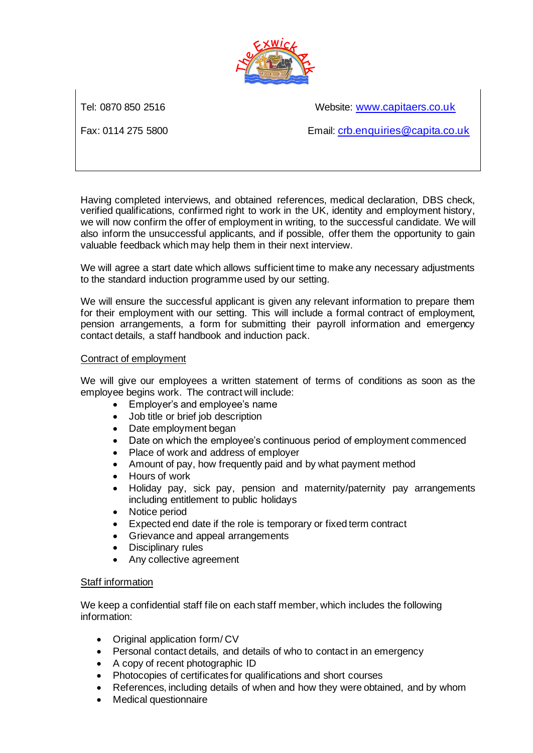

Tel: 0870 850 2516 Website: www.capitaers.co.uk

Fax: 0114 275 5800 Email: crb.enquiries@capita.co.uk

Having completed interviews, and obtained references, medical declaration, DBS check, verified qualifications, confirmed right to work in the UK, identity and employment history, we will now confirm the offer of employment in writing, to the successful candidate. We will also inform the unsuccessful applicants, and if possible, offer them the opportunity to gain valuable feedback which may help them in their next interview.

We will agree a start date which allows sufficient time to make any necessary adjustments to the standard induction programme used by our setting.

We will ensure the successful applicant is given any relevant information to prepare them for their employment with our setting. This will include a formal contract of employment, pension arrangements, a form for submitting their payroll information and emergency contact details, a staff handbook and induction pack.

## Contract of employment

We will give our employees a written statement of terms of conditions as soon as the employee begins work. The contract will include:

- Employer's and employee's name
- Job title or brief job description
- Date employment began
- Date on which the employee's continuous period of employment commenced
- Place of work and address of employer
- Amount of pay, how frequently paid and by what payment method
- Hours of work
- Holiday pay, sick pay, pension and maternity/paternity pay arrangements including entitlement to public holidays
- Notice period
- Expected end date if the role is temporary or fixed term contract
- Grievance and appeal arrangements
- Disciplinary rules
- Any collective agreement

## Staff information

We keep a confidential staff file on each staff member, which includes the following information:

- Original application form/ CV
- Personal contact details, and details of who to contact in an emergency
- A copy of recent photographic ID
- Photocopies of certificates for qualifications and short courses
- References, including details of when and how they were obtained, and by whom
- Medical questionnaire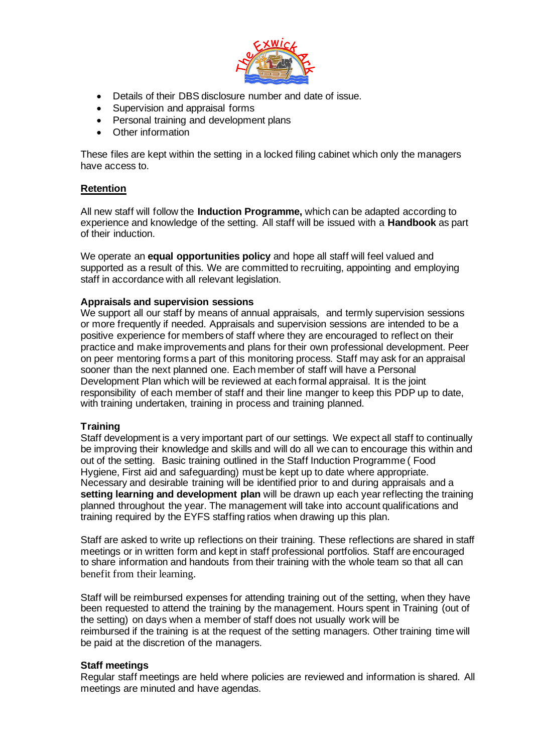

- Details of their DBS disclosure number and date of issue.
- Supervision and appraisal forms
- Personal training and development plans
- Other information

These files are kept within the setting in a locked filing cabinet which only the managers have access to.

# **Retention**

All new staff will follow the **Induction Programme,** which can be adapted according to experience and knowledge of the setting. All staff will be issued with a **Handbook** as part of their induction.

We operate an **equal opportunities policy** and hope all staff will feel valued and supported as a result of this. We are committed to recruiting, appointing and employing staff in accordance with all relevant legislation.

## **Appraisals and supervision sessions**

We support all our staff by means of annual appraisals, and termly supervision sessions or more frequently if needed. Appraisals and supervision sessions are intended to be a positive experience for members of staff where they are encouraged to reflect on their practice and make improvements and plans for their own professional development. Peer on peer mentoring forms a part of this monitoring process. Staff may ask for an appraisal sooner than the next planned one. Each member of staff will have a Personal Development Plan which will be reviewed at each formal appraisal. It is the joint responsibility of each member of staff and their line manger to keep this PDP up to date, with training undertaken, training in process and training planned.

## **Training**

Staff development is a very important part of our settings. We expect all staff to continually be improving their knowledge and skills and will do all we can to encourage this within and out of the setting. Basic training outlined in the Staff Induction Programme ( Food Hygiene, First aid and safeguarding) must be kept up to date where appropriate. Necessary and desirable training will be identified prior to and during appraisals and a **setting learning and development plan** will be drawn up each year reflecting the training planned throughout the year. The management will take into account qualifications and training required by the EYFS staffing ratios when drawing up this plan.

Staff are asked to write up reflections on their training. These reflections are shared in staff meetings or in written form and kept in staff professional portfolios. Staff are encouraged to share information and handouts from their training with the whole team so that all can benefit from their learning.

Staff will be reimbursed expenses for attending training out of the setting, when they have been requested to attend the training by the management. Hours spent in Training (out of the setting) on days when a member of staff does not usually work will be reimbursed if the training is at the request of the setting managers. Other training time will be paid at the discretion of the managers.

## **Staff meetings**

Regular staff meetings are held where policies are reviewed and information is shared. All meetings are minuted and have agendas.